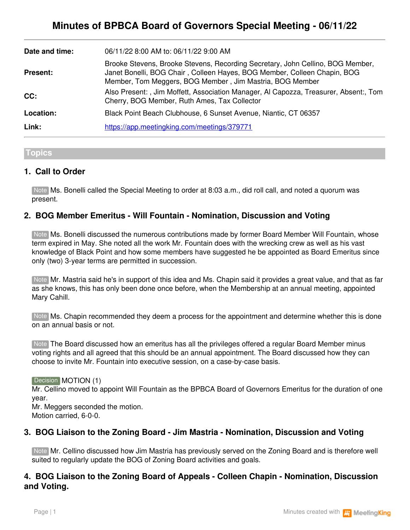| Date and time:  | 06/11/22 8:00 AM to: 06/11/22 9:00 AM                                                                                                                                                                                  |
|-----------------|------------------------------------------------------------------------------------------------------------------------------------------------------------------------------------------------------------------------|
| <b>Present:</b> | Brooke Stevens, Brooke Stevens, Recording Secretary, John Cellino, BOG Member,<br>Janet Bonelli, BOG Chair, Colleen Hayes, BOG Member, Colleen Chapin, BOG<br>Member, Tom Meggers, BOG Member, Jim Mastria, BOG Member |
| CC:             | Also Present:, Jim Moffett, Association Manager, Al Capozza, Treasurer, Absent:, Tom<br>Cherry, BOG Member, Ruth Ames, Tax Collector                                                                                   |
| Location:       | Black Point Beach Clubhouse, 6 Sunset Avenue, Niantic, CT 06357                                                                                                                                                        |
| Link:           | https://app.meetingking.com/meetings/379771                                                                                                                                                                            |

## **Topics**

## **1. Call to Order**

Ms. Bonelli called the Special Meeting to order at 8:03 a.m., did roll call, and noted a quorum was Note present.

## **2. BOG Member Emeritus - Will Fountain - Nomination, Discussion and Voting**

Note Ms. Bonelli discussed the numerous contributions made by former Board Member Will Fountain, whose term expired in May. She noted all the work Mr. Fountain does with the wrecking crew as well as his vast knowledge of Black Point and how some members have suggested he be appointed as Board Emeritus since only (two) 3-year terms are permitted in succession.

Note Mr. Mastria said he's in support of this idea and Ms. Chapin said it provides a great value, and that as far as she knows, this has only been done once before, when the Membership at an annual meeting, appointed Mary Cahill.

Note Ms. Chapin recommended they deem a process for the appointment and determine whether this is done on an annual basis or not.

Note The Board discussed how an emeritus has all the privileges offered a regular Board Member minus voting rights and all agreed that this should be an annual appointment. The Board discussed how they can choose to invite Mr. Fountain into executive session, on a case-by-case basis.

#### Decision **MOTION** (1)

Mr. Cellino moved to appoint Will Fountain as the BPBCA Board of Governors Emeritus for the duration of one year.

Mr. Meggers seconded the motion. Motion carried, 6-0-0.

## **3. BOG Liaison to the Zoning Board - Jim Mastria - Nomination, Discussion and Voting**

Note Mr. Cellino discussed how Jim Mastria has previously served on the Zoning Board and is therefore well suited to regularly update the BOG of Zoning Board activities and goals.

## **4. BOG Liaison to the Zoning Board of Appeals - Colleen Chapin - Nomination, Discussion and Voting.**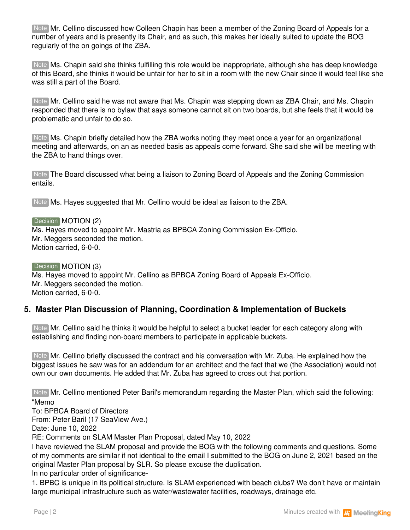Note Mr. Cellino discussed how Colleen Chapin has been a member of the Zoning Board of Appeals for a number of years and is presently its Chair, and as such, this makes her ideally suited to update the BOG regularly of the on goings of the ZBA.

Ms. Chapin said she thinks fulfilling this role would be inappropriate, although she has deep knowledge Note of this Board, she thinks it would be unfair for her to sit in a room with the new Chair since it would feel like she was still a part of the Board.

Note Mr. Cellino said he was not aware that Ms. Chapin was stepping down as ZBA Chair, and Ms. Chapin responded that there is no bylaw that says someone cannot sit on two boards, but she feels that it would be problematic and unfair to do so.

Note Ms. Chapin briefly detailed how the ZBA works noting they meet once a year for an organizational meeting and afterwards, on an as needed basis as appeals come forward. She said she will be meeting with the ZBA to hand things over.

Note The Board discussed what being a liaison to Zoning Board of Appeals and the Zoning Commission entails.

Note Ms. Hayes suggested that Mr. Cellino would be ideal as liaison to the ZBA.

Decision **MOTION** (2)

Ms. Hayes moved to appoint Mr. Mastria as BPBCA Zoning Commission Ex-Officio. Mr. Meggers seconded the motion. Motion carried, 6-0-0.

Decision MOTION (3) Ms. Hayes moved to appoint Mr. Cellino as BPBCA Zoning Board of Appeals Ex-Officio. Mr. Meggers seconded the motion. Motion carried, 6-0-0.

## **5. Master Plan Discussion of Planning, Coordination & Implementation of Buckets**

Note Mr. Cellino said he thinks it would be helpful to select a bucket leader for each category along with establishing and finding non-board members to participate in applicable buckets.

Note Mr. Cellino briefly discussed the contract and his conversation with Mr. Zuba. He explained how the biggest issues he saw was for an addendum for an architect and the fact that we (the Association) would not own our own documents. He added that Mr. Zuba has agreed to cross out that portion.

Note Mr. Cellino mentioned Peter Baril's memorandum regarding the Master Plan, which said the following: "Memo

To: BPBCA Board of Directors

From: Peter Baril (17 SeaView Ave.)

Date: June 10, 2022

RE: Comments on SLAM Master Plan Proposal, dated May 10, 2022

I have reviewed the SLAM proposal and provide the BOG with the following comments and questions. Some of my comments are similar if not identical to the email I submitted to the BOG on June 2, 2021 based on the original Master Plan proposal by SLR. So please excuse the duplication.

In no particular order of significance-

1. BPBC is unique in its political structure. Is SLAM experienced with beach clubs? We don't have or maintain large municipal infrastructure such as water/wastewater facilities, roadways, drainage etc.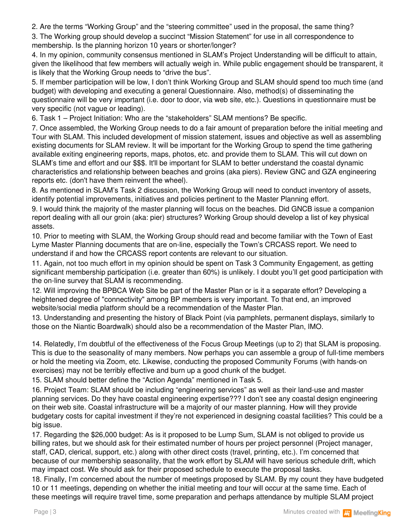2. Are the terms "Working Group" and the "steering committee" used in the proposal, the same thing?

3. The Working group should develop a succinct "Mission Statement" for use in all correspondence to membership. Is the planning horizon 10 years or shorter/longer?

4. In my opinion, community consensus mentioned in SLAM's Project Understanding will be difficult to attain, given the likelihood that few members will actually weigh in. While public engagement should be transparent, it is likely that the Working Group needs to "drive the bus".

5. If member participation will be low, I don't think Working Group and SLAM should spend too much time (and budget) with developing and executing a general Questionnaire. Also, method(s) of disseminating the questionnaire will be very important (i.e. door to door, via web site, etc.). Questions in questionnaire must be very specific (not vague or leading).

6. Task 1 – Project Initiation: Who are the "stakeholders" SLAM mentions? Be specific.

7. Once assembled, the Working Group needs to do a fair amount of preparation before the initial meeting and Tour with SLAM. This included development of mission statement, issues and objective as well as assembling existing documents for SLAM review. It will be important for the Working Group to spend the time gathering available exiting engineering reports, maps, photos, etc. and provide them to SLAM. This will cut down on SLAM's time and effort and our \$\$\$. It'll be important for SLAM to better understand the coastal dynamic characteristics and relationship between beaches and groins (aka piers). Review GNC and GZA engineering reports etc. (don't have them reinvent the wheel).

8. As mentioned in SLAM's Task 2 discussion, the Working Group will need to conduct inventory of assets, identify potential improvements, initiatives and policies pertinent to the Master Planning effort.

9. I would think the majority of the master planning will focus on the beaches. Did GNCB issue a companion report dealing with all our groin (aka: pier) structures? Working Group should develop a list of key physical assets.

10. Prior to meeting with SLAM, the Working Group should read and become familiar with the Town of East Lyme Master Planning documents that are on-line, especially the Town's CRCASS report. We need to understand if and how the CRCASS report contents are relevant to our situation.

11. Again, not too much effort in my opinion should be spent on Task 3 Community Engagement, as getting significant membership participation (i.e. greater than 60%) is unlikely. I doubt you'll get good participation with the on-line survey that SLAM is recommending.

12. Will improving the BPBCA Web Site be part of the Master Plan or is it a separate effort? Developing a heightened degree of "connectivity" among BP members is very important. To that end, an improved website/social media platform should be a recommendation of the Master Plan.

13. Understanding and presenting the history of Black Point (via pamphlets, permanent displays, similarly to those on the Niantic Boardwalk) should also be a recommendation of the Master Plan, IMO.

14. Relatedly, I'm doubtful of the effectiveness of the Focus Group Meetings (up to 2) that SLAM is proposing. This is due to the seasonality of many members. Now perhaps you can assemble a group of full-time members or hold the meeting via Zoom, etc. Likewise, conducting the proposed Community Forums (with hands-on exercises) may not be terribly effective and burn up a good chunk of the budget.

15. SLAM should better define the "Action Agenda" mentioned in Task 5.

16. Project Team: SLAM should be including "engineering services" as well as their land-use and master planning services. Do they have coastal engineering expertise??? I don't see any coastal design engineering on their web site. Coastal infrastructure will be a majority of our master planning. How will they provide budgetary costs for capital investment if they're not experienced in designing coastal facilities? This could be a big issue.

17. Regarding the \$26,000 budget: As is it proposed to be Lump Sum, SLAM is not obliged to provide us billing rates, but we should ask for their estimated number of hours per project personnel (Project manager, staff, CAD, clerical, support, etc.) along with other direct costs (travel, printing, etc.). I'm concerned that because of our membership seasonality, that the work effort by SLAM will have serious schedule drift, which may impact cost. We should ask for their proposed schedule to execute the proposal tasks.

18. Finally, I'm concerned about the number of meetings proposed by SLAM. By my count they have budgeted 10 or 11 meetings, depending on whether the initial meeting and tour will occur at the same time. Each of these meetings will require travel time, some preparation and perhaps attendance by multiple SLAM [project](http://www.meetingking.com)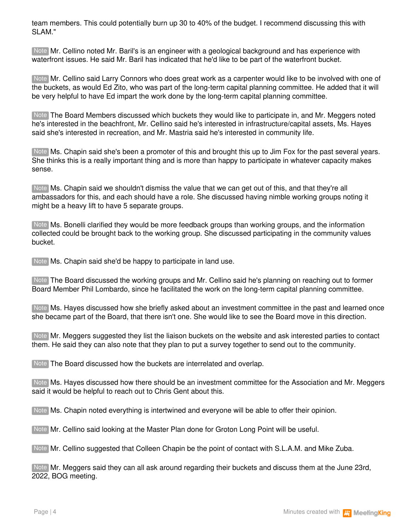team members. This could potentially burn up 30 to 40% of the budget. I recommend discussing this with SLAM."

Note Mr. Cellino noted Mr. Baril's is an engineer with a geological background and has experience with waterfront issues. He said Mr. Baril has indicated that he'd like to be part of the waterfront bucket.

Note Mr. Cellino said Larry Connors who does great work as a carpenter would like to be involved with one of the buckets, as would Ed Zito, who was part of the long-term capital planning committee. He added that it will be very helpful to have Ed impart the work done by the long-term capital planning committee.

Note The Board Members discussed which buckets they would like to participate in, and Mr. Meggers noted he's interested in the beachfront, Mr. Cellino said he's interested in infrastructure/capital assets, Ms. Hayes said she's interested in recreation, and Mr. Mastria said he's interested in community life.

Note Ms. Chapin said she's been a promoter of this and brought this up to Jim Fox for the past several years. She thinks this is a really important thing and is more than happy to participate in whatever capacity makes sense.

Ms. Chapin said we shouldn't dismiss the value that we can get out of this, and that they're all Note ambassadors for this, and each should have a role. She discussed having nimble working groups noting it might be a heavy lift to have 5 separate groups.

Note Ms. Bonelli clarified they would be more feedback groups than working groups, and the information collected could be brought back to the working group. She discussed participating in the community values bucket.

Note Ms. Chapin said she'd be happy to participate in land use.

Note The Board discussed the working groups and Mr. Cellino said he's planning on reaching out to former Board Member Phil Lombardo, since he facilitated the work on the long-term capital planning committee.

Note Ms. Hayes discussed how she briefly asked about an investment committee in the past and learned once she became part of the Board, that there isn't one. She would like to see the Board move in this direction.

Mr. Meggers suggested they list the liaison buckets on the website and ask interested parties to contact Note them. He said they can also note that they plan to put a survey together to send out to the community.

Note The Board discussed how the buckets are interrelated and overlap.

Note Ms. Hayes discussed how there should be an investment committee for the Association and Mr. Meggers said it would be helpful to reach out to Chris Gent about this.

Note Ms. Chapin noted everything is intertwined and everyone will be able to offer their opinion.

Note Mr. Cellino said looking at the Master Plan done for Groton Long Point will be useful.

Note Mr. Cellino suggested that Colleen Chapin be the point of contact with S.L.A.M. and Mike Zuba.

Note Mr. Meggers said they can all ask around regarding their buckets and discuss them at the June 23rd, 2022, BOG meeting.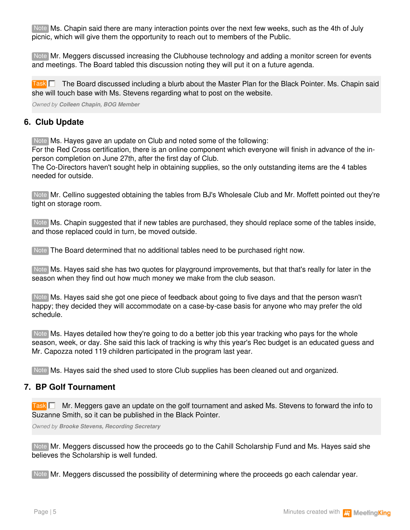Note Ms. Chapin said there are many interaction points over the next few weeks, such as the 4th of July picnic, which will give them the opportunity to reach out to members of the Public.

Note Mr. Meggers discussed increasing the Clubhouse technology and adding a monitor screen for events and meetings. The Board tabled this discussion noting they will put it on a future agenda.

Task  $\square$  The Board discussed including a blurb about the Master Plan for the Black Pointer. Ms. Chapin said she will touch base with Ms. Stevens regarding what to post on the website.

*Owned by Colleen Chapin, BOG Member*

## **6. Club Update**

Note Ms. Hayes gave an update on Club and noted some of the following:

For the Red Cross certification, there is an online component which everyone will finish in advance of the inperson completion on June 27th, after the first day of Club.

The Co-Directors haven't sought help in obtaining supplies, so the only outstanding items are the 4 tables needed for outside.

Note Mr. Cellino suggested obtaining the tables from BJ's Wholesale Club and Mr. Moffett pointed out they're tight on storage room.

Note Ms. Chapin suggested that if new tables are purchased, they should replace some of the tables inside, and those replaced could in turn, be moved outside.

Note The Board determined that no additional tables need to be purchased right now.

Note Ms. Hayes said she has two quotes for playground improvements, but that that's really for later in the season when they find out how much money we make from the club season.

Note Ms. Hayes said she got one piece of feedback about going to five days and that the person wasn't happy; they decided they will accommodate on a case-by-case basis for anyone who may prefer the old schedule.

Ms. Hayes detailed how they're going to do a better job this year tracking who pays for the whole Note season, week, or day. She said this lack of tracking is why this year's Rec budget is an educated guess and Mr. Capozza noted 119 children participated in the program last year.

Note Ms. Hayes said the shed used to store Club supplies has been cleaned out and organized.

## **7. BP Golf Tournament**

Task  $\square$  Mr. Meggers gave an update on the golf tournament and asked Ms. Stevens to forward the info to Suzanne Smith, so it can be published in the Black Pointer.

*Owned by Brooke Stevens, Recording Secretary*

Note Mr. Meggers discussed how the proceeds go to the Cahill Scholarship Fund and Ms. Hayes said she believes the Scholarship is well funded.

Note Mr. Meggers discussed the possibility of determining where the proceeds go each calendar year.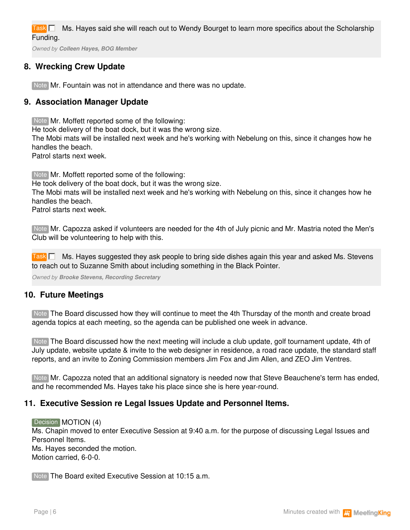Ms. Hayes said she will reach out to Wendy Bourget to learn more specifics about the Scholarship Funding. **Task** 

*Owned by Colleen Hayes, BOG Member*

# **8. Wrecking Crew Update**

Note Mr. Fountain was not in attendance and there was no update.

# **9. Association Manager Update**

Note Mr. Moffett reported some of the following:

He took delivery of the boat dock, but it was the wrong size.

The Mobi mats will be installed next week and he's working with Nebelung on this, since it changes how he handles the beach.

Patrol starts next week.

Note Mr. Moffett reported some of the following:

He took delivery of the boat dock, but it was the wrong size.

The Mobi mats will be installed next week and he's working with Nebelung on this, since it changes how he handles the beach.

Patrol starts next week.

Mr. Capozza asked if volunteers are needed for the 4th of July picnic and Mr. Mastria noted the Men's Note Club will be volunteering to help with this.

Task **MS. Hayes suggested they ask people to bring side dishes again this year and asked Ms. Stevens** to reach out to Suzanne Smith about including something in the Black Pointer.

*Owned by Brooke Stevens, Recording Secretary*

## **10. Future Meetings**

Note The Board discussed how they will continue to meet the 4th Thursday of the month and create broad agenda topics at each meeting, so the agenda can be published one week in advance.

Note The Board discussed how the next meeting will include a club update, golf tournament update, 4th of July update, website update & invite to the web designer in residence, a road race update, the standard staff reports, and an invite to Zoning Commission members Jim Fox and Jim Allen, and ZEO Jim Ventres.

Note Mr. Capozza noted that an additional signatory is needed now that Steve Beauchene's term has ended, and he recommended Ms. Hayes take his place since she is here year-round.

## **11. Executive Session re Legal Issues Update and Personnel Items.**

#### Decision MOTION (4)

Ms. Chapin moved to enter Executive Session at 9:40 a.m. for the purpose of discussing Legal Issues and Personnel Items. Ms. Hayes seconded the motion. Motion carried, 6-0-0.

Note The Board exited Executive Session at 10:15 a.m.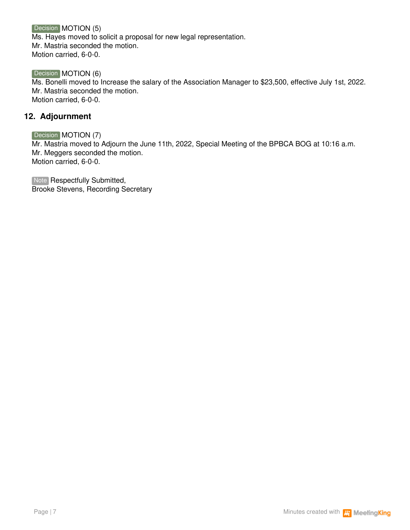Decision MOTION (5) Ms. Hayes moved to solicit a proposal for new legal representation. Mr. Mastria seconded the motion. Motion carried, 6-0-0.

Decision **MOTION** (6) Ms. Bonelli moved to Increase the salary of the Association Manager to \$23,500, effective July 1st, 2022. Mr. Mastria seconded the motion. Motion carried, 6-0-0.

## **12. Adjournment**

Decision **MOTION** (7)

Mr. Mastria moved to Adjourn the June 11th, 2022, Special Meeting of the BPBCA BOG at 10:16 a.m. Mr. Meggers seconded the motion. Motion carried, 6-0-0.

Note Respectfully Submitted, Brooke Stevens, Recording Secretary